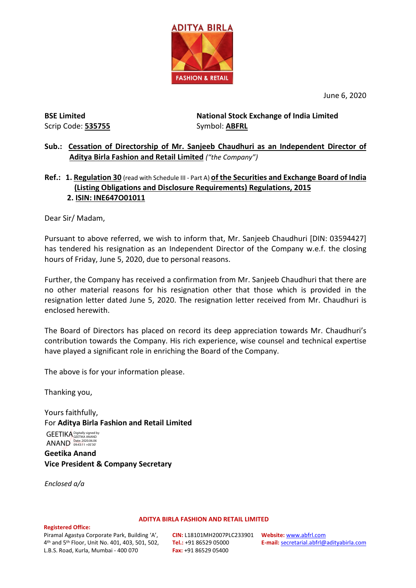

June 6, 2020

**BSE Limited** Scrip Code: **535755** **National Stock Exchange of India Limited**  Symbol: **ABFRL**

**Sub.: Cessation of Directorship of Mr. Sanjeeb Chaudhuri as an Independent Director of Aditya Birla Fashion and Retail Limited** *("the Company")*

## **Ref.: 1. Regulation 30** (read with Schedule III - Part A) **of the Securities and Exchange Board of India (Listing Obligations and Disclosure Requirements) Regulations, 2015 2. ISIN: INE647O01011**

Dear Sir/ Madam,

Pursuant to above referred, we wish to inform that, Mr. Sanjeeb Chaudhuri [DIN: 03594427] has tendered his resignation as an Independent Director of the Company w.e.f. the closing hours of Friday, June 5, 2020, due to personal reasons.

Further, the Company has received a confirmation from Mr. Sanjeeb Chaudhuri that there are no other material reasons for his resignation other that those which is provided in the resignation letter dated June 5, 2020. The resignation letter received from Mr. Chaudhuri is enclosed herewith.

The Board of Directors has placed on record its deep appreciation towards Mr. Chaudhuri's contribution towards the Company. His rich experience, wise counsel and technical expertise have played a significant role in enriching the Board of the Company.

The above is for your information please.

Thanking you,

Yours faithfully, For **Aditya Birla Fashion and Retail Limited** GEETIKA Digitally signed by

**Geetika Anand ANAND** Date: 2020.06.06

**Vice President & Company Secretary**

*Enclosed a/a*

## **Registered Office:**

Piramal Agastya Corporate Park, Building 'A', 4th and 5th Floor, Unit No. 401, 403, 501, 502, L.B.S. Road, Kurla, Mumbai - 400 070

**CIN:** L18101MH2007PLC233901 **Website:** [www.abfrl.com](http://www.abfrl.com/) **Tel.:** +91 86529 05000 **Fax:** +91 86529 05400

**ADITYA BIRLA FASHION AND RETAIL LIMITED**

**E-mail:** [secretarial.abfrl@adityabirla.com](mailto:secretarial.abfrl@adityabirla.com)